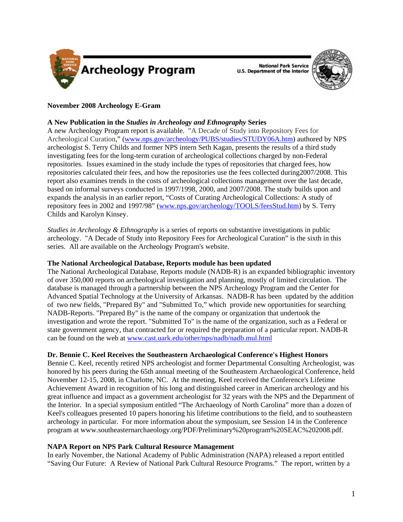

**National Park Service U.S. Department of the Interior** 



# **November 2008 Archeology E-Gram**

## **A New Publication in the** *Studies in Archeology and Ethnography* **Series**

A new Archeology Program report is available. "A Decade of Study into Repository Fees for Archeological Curation," (www.nps.gov/archeology/PUBS/studies/STUDY06A.htm) authored by NPS archeologist S. Terry Childs and former NPS intern Seth Kagan, presents the results of a third study investigating fees for the long-term curation of archeological collections charged by non-Federal repositories. Issues examined in the study include the types of repositories that charged fees, how repositories calculated their fees, and how the repositories use the fees collected during2007/2008. This report also examines trends in the costs of archeological collections management over the last decade, based on informal surveys conducted in 1997/1998, 2000, and 2007/2008. The study builds upon and expands the analysis in an earlier report, "Costs of Curating Archeological Collections: A study of repository fees in 2002 and 1997/98" (www.nps.gov/archeology/TOOLS/feesStud.htm) by S. Terry Childs and Karolyn Kinsey.

*Studies in Archeology & Ethnography* is a series of reports on substantive investigations in public archeology. "A Decade of Study into Repository Fees for Archeological Curation" is the sixth in this series. All are available on the Archeology Program's website.

## **The National Archeological Database, Reports module has been updated**

The National Archeological Database, Reports module (NADB-R) is an expanded bibliographic inventory of over 350,000 reports on archeological investigation and planning, mostly of limited circulation. The database is managed through a partnership between the NPS Archeology Program and the Center for Advanced Spatial Technology at the University of Arkansas. NADB-R has been updated by the addition of two new fields, "Prepared By" and "Submitted To," which provide new opportunities for searching NADB-Reports. "Prepared By" is the name of the company or organization that undertook the investigation and wrote the report. "Submitted To" is the name of the organization, such as a Federal or state government agency, that contracted for or required the preparation of a particular report. NADB-R can be found on the web at www.cast.uark.edu/other/nps/nadb/nadb.mul.html

## **Dr. Bennie C. Keel Receives the Southeastern Archaeological Conference's Highest Honors**

Bennie C. Keel, recently retired NPS archeologist and former Departmental Consulting Archeologist, was honored by his peers during the 65th annual meeting of the Southeastern Archaeological Conference, held November 12-15, 2008, in Charlotte, NC. At the meeting, Keel received the Conference's Lifetime Achievement Award in recognition of his long and distinguished career in American archeology and his great influence and impact as a government archeologist for 32 years with the NPS and the Department of the Interior. In a special symposium entitled "The Archaeology of North Carolina" more than a dozen of Keel's colleagues presented 10 papers honoring his lifetime contributions to the field, and to southeastern archeology in particular. For more information about the symposium, see Session 14 in the Conference program at www.southeasternarchaeology.org/PDF/Preliminary%20program%20SEAC%202008.pdf.

## **NAPA Report on NPS Park Cultural Resource Management**

In early November, the National Academy of Public Administration (NAPA) released a report entitled "Saving Our Future: A Review of National Park Cultural Resource Programs." The report, written by a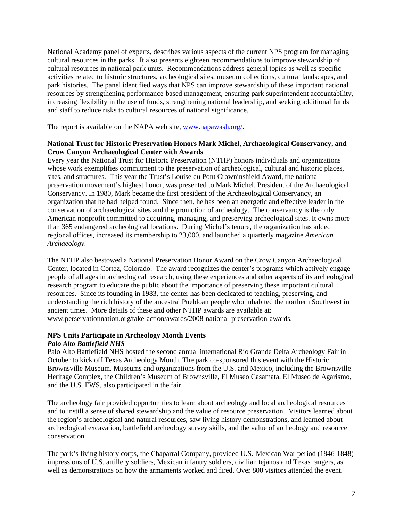National Academy panel of experts, describes various aspects of the current NPS program for managing cultural resources in the parks. It also presents eighteen recommendations to improve stewardship of cultural resources in national park units. Recommendations address general topics as well as specific activities related to historic structures, archeological sites, museum collections, cultural landscapes, and park histories. The panel identified ways that NPS can improve stewardship of these important national resources by strengthening performance-based management, ensuring park superintendent accountability, increasing flexibility in the use of funds, strengthening national leadership, and seeking additional funds and staff to reduce risks to cultural resources of national significance.

The report is available on the NAPA web site, www.napawash.org/.

## **National Trust for Historic Preservation Honors Mark Michel, Archaeological Conservancy, and Crow Canyon Archaeological Center with Awards**

Every year the National Trust for Historic Preservation (NTHP) honors individuals and organizations whose work exemplifies commitment to the preservation of archeological, cultural and historic places, sites, and structures. This year the Trust's Louise du Pont Crowninshield Award, the national preservation movement's highest honor, was presented to Mark Michel, President of the Archaeological Conservancy. In 1980, Mark became the first president of the Archaeological Conservancy, an organization that he had helped found. Since then, he has been an energetic and effective leader in the conservation of archaeological sites and the promotion of archeology. The conservancy is the only American nonprofit committed to acquiring, managing, and preserving archeological sites. It owns more than 365 endangered archeological locations. During Michel's tenure, the organization has added regional offices, increased its membership to 23,000, and launched a quarterly magazine *American Archaeology.*

The NTHP also bestowed a National Preservation Honor Award on the Crow Canyon Archaeological Center, located in Cortez, Colorado. The award recognizes the center's programs which actively engage people of all ages in archeological research, using these experiences and other aspects of its archeological research program to educate the public about the importance of preserving these important cultural resources. Since its founding in 1983, the center has been dedicated to teaching, preserving, and understanding the rich history of the ancestral Puebloan people who inhabited the northern Southwest in ancient times. More details of these and other NTHP awards are available at: www.perservationnation.org/take-action/awards/2008-national-preservation-awards.

### **NPS Units Participate in Archeology Month Events**  *Palo Alto Battlefield NHS*

Palo Alto Battlefield NHS hosted the second annual international Rio Grande Delta Archeology Fair in October to kick off Texas Archeology Month. The park co-sponsored this event with the Historic Brownsville Museum. Museums and organizations from the U.S. and Mexico, including the Brownsville Heritage Complex, the Children's Museum of Brownsville, El Museo Casamata, El Museo de Agarismo, and the U.S. FWS, also participated in the fair.

The archeology fair provided opportunities to learn about archeology and local archeological resources and to instill a sense of shared stewardship and the value of resource preservation. Visitors learned about the region's archeological and natural resources, saw living history demonstrations, and learned about archeological excavation, battlefield archeology survey skills, and the value of archeology and resource conservation.

The park's living history corps, the Chaparral Company, provided U.S.-Mexican War period (1846-1848) impressions of U.S. artillery soldiers, Mexican infantry soldiers, civilian tejanos and Texas rangers, as well as demonstrations on how the armaments worked and fired. Over 800 visitors attended the event.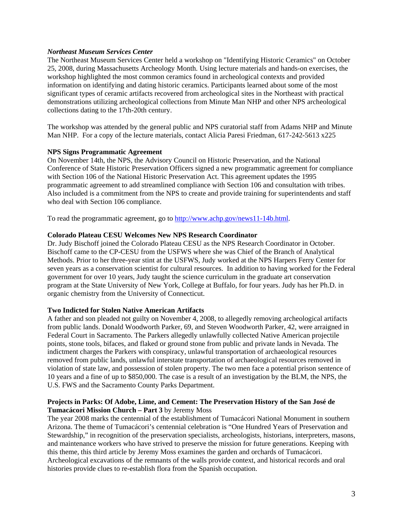## *Northeast Museum Services Center*

The Northeast Museum Services Center held a workshop on "Identifying Historic Ceramics" on October 25, 2008, during Massachusetts Archeology Month. Using lecture materials and hands-on exercises, the workshop highlighted the most common ceramics found in archeological contexts and provided information on identifying and dating historic ceramics. Participants learned about some of the most significant types of ceramic artifacts recovered from archeological sites in the Northeast with practical demonstrations utilizing archeological collections from Minute Man NHP and other NPS archeological collections dating to the 17th-20th century.

The workshop was attended by the general public and NPS curatorial staff from Adams NHP and Minute Man NHP. For a copy of the lecture materials, contact Alicia Paresi Friedman, 617-242-5613 x225

### **NPS Signs Programmatic Agreement**

On November 14th, the NPS, the Advisory Council on Historic Preservation, and the National Conference of State Historic Preservation Officers signed a new programmatic agreement for compliance with Section 106 of the National Historic Preservation Act. This agreement updates the 1995 programmatic agreement to add streamlined compliance with Section 106 and consultation with tribes. Also included is a commitment from the NPS to create and provide training for superintendents and staff who deal with Section 106 compliance.

To read the programmatic agreement, go to http://www.achp.gov/news11-14b.html.

### **Colorado Plateau CESU Welcomes New NPS Research Coordinator**

Dr. Judy Bischoff joined the Colorado Plateau CESU as the NPS Research Coordinator in October. Bischoff came to the CP-CESU from the USFWS where she was Chief of the Branch of Analytical Methods. Prior to her three-year stint at the USFWS, Judy worked at the NPS Harpers Ferry Center for seven years as a conservation scientist for cultural resources. In addition to having worked for the Federal government for over 10 years, Judy taught the science curriculum in the graduate art conservation program at the State University of New York, College at Buffalo, for four years. Judy has her Ph.D. in organic chemistry from the University of Connecticut.

#### **Two Indicted for Stolen Native American Artifacts**

A father and son pleaded not guilty on November 4, 2008, to allegedly removing archeological artifacts from public lands. Donald Woodworth Parker, 69, and Steven Woodworth Parker, 42, were arraigned in Federal Court in Sacramento. The Parkers allegedly unlawfully collected Native American projectile points, stone tools, bifaces, and flaked or ground stone from public and private lands in Nevada. The indictment charges the Parkers with conspiracy, unlawful transportation of archaeological resources removed from public lands, unlawful interstate transportation of archaeological resources removed in violation of state law, and possession of stolen property. The two men face a potential prison sentence of 10 years and a fine of up to \$850,000. The case is a result of an investigation by the BLM, the NPS, the U.S. FWS and the Sacramento County Parks Department.

### **Projects in Parks: Of Adobe, Lime, and Cement: The Preservation History of the San José de Tumacácori Mission Church – Part 3** by Jeremy Moss

The year 2008 marks the centennial of the establishment of Tumacácori National Monument in southern Arizona. The theme of Tumacácori's centennial celebration is "One Hundred Years of Preservation and Stewardship," in recognition of the preservation specialists, archeologists, historians, interpreters, masons, and maintenance workers who have strived to preserve the mission for future generations. Keeping with this theme, this third article by Jeremy Moss examines the garden and orchards of Tumacácori. Archeological excavations of the remnants of the walls provide context, and historical records and oral histories provide clues to re-establish flora from the Spanish occupation.